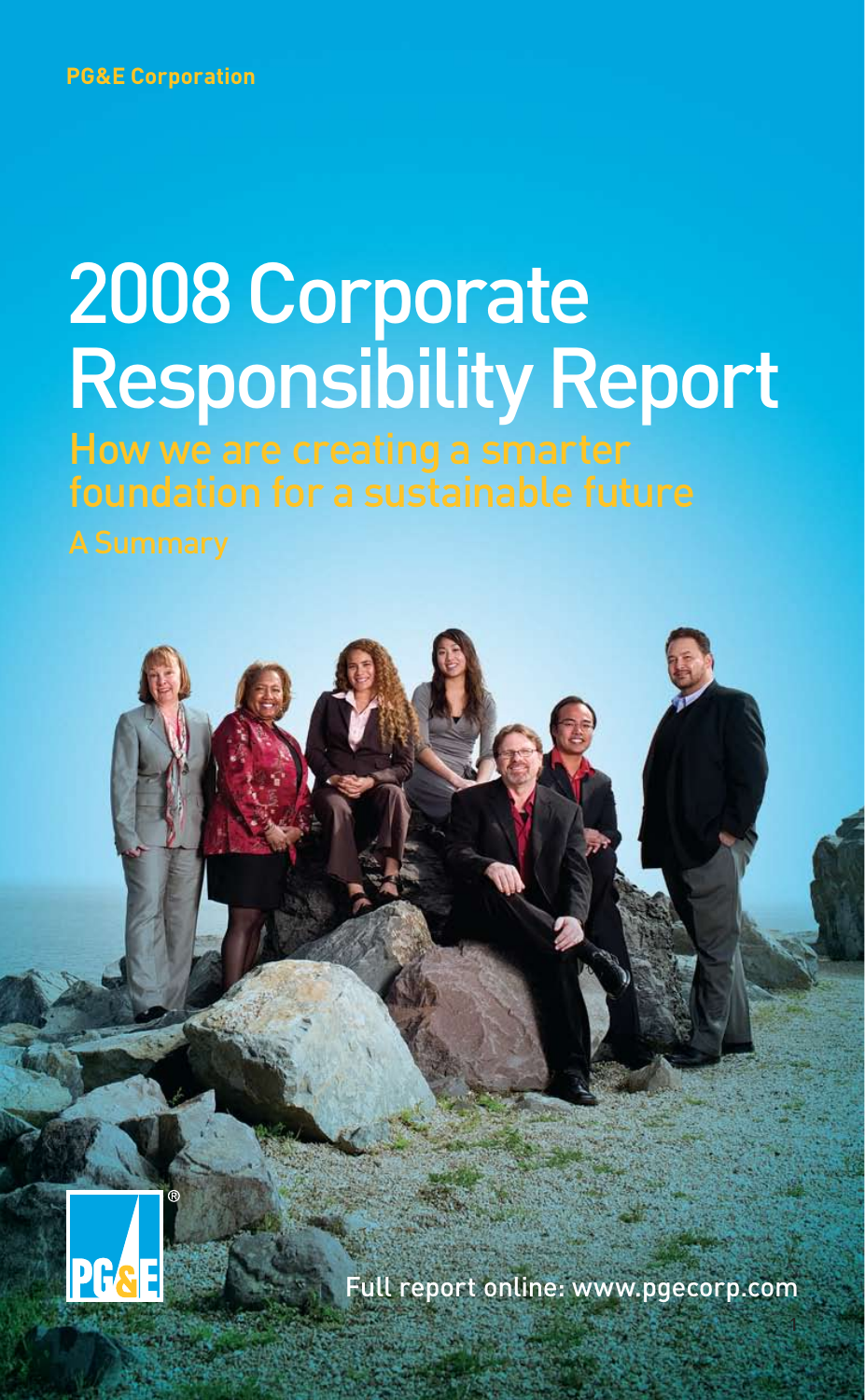# 2008 Corporate Responsibility Report

How we are creating a smarter





Full report online: www.pgecorp.com

1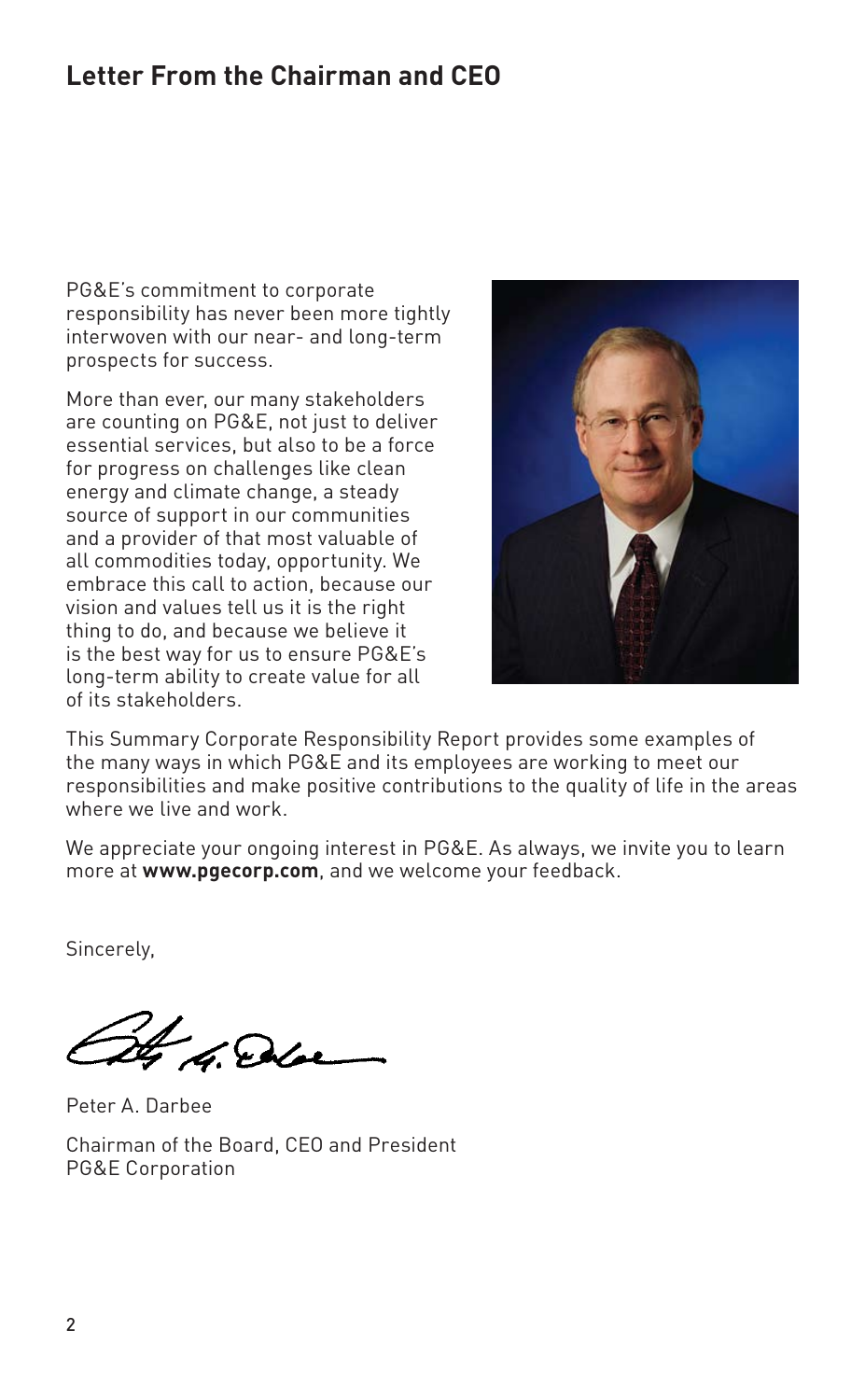## **Letter From the Chairman and CEO**

PG&E's commitment to corporate responsibility has never been more tightly interwoven with our near- and long-term prospects for success.

More than ever, our many stakeholders are counting on PG&E, not just to deliver essential services, but also to be a force for progress on challenges like clean energy and climate change, a steady source of support in our communities and a provider of that most valuable of all commodities today, opportunity. We embrace this call to action, because our vision and values tell us it is the right thing to do, and because we believe it is the best way for us to ensure PG&E's long-term ability to create value for all of its stakeholders.



This Summary Corporate Responsibility Report provides some examples of the many ways in which PG&E and its employees are working to meet our responsibilities and make positive contributions to the quality of life in the areas where we live and work.

We appreciate your ongoing interest in PG&E. As always, we invite you to learn more at **www.pgecorp.com**, and we welcome your feedback.

Sincerely,

4 G. Die

Peter A. Darbee

Chairman of the Board, CEO and President PG&E Corporation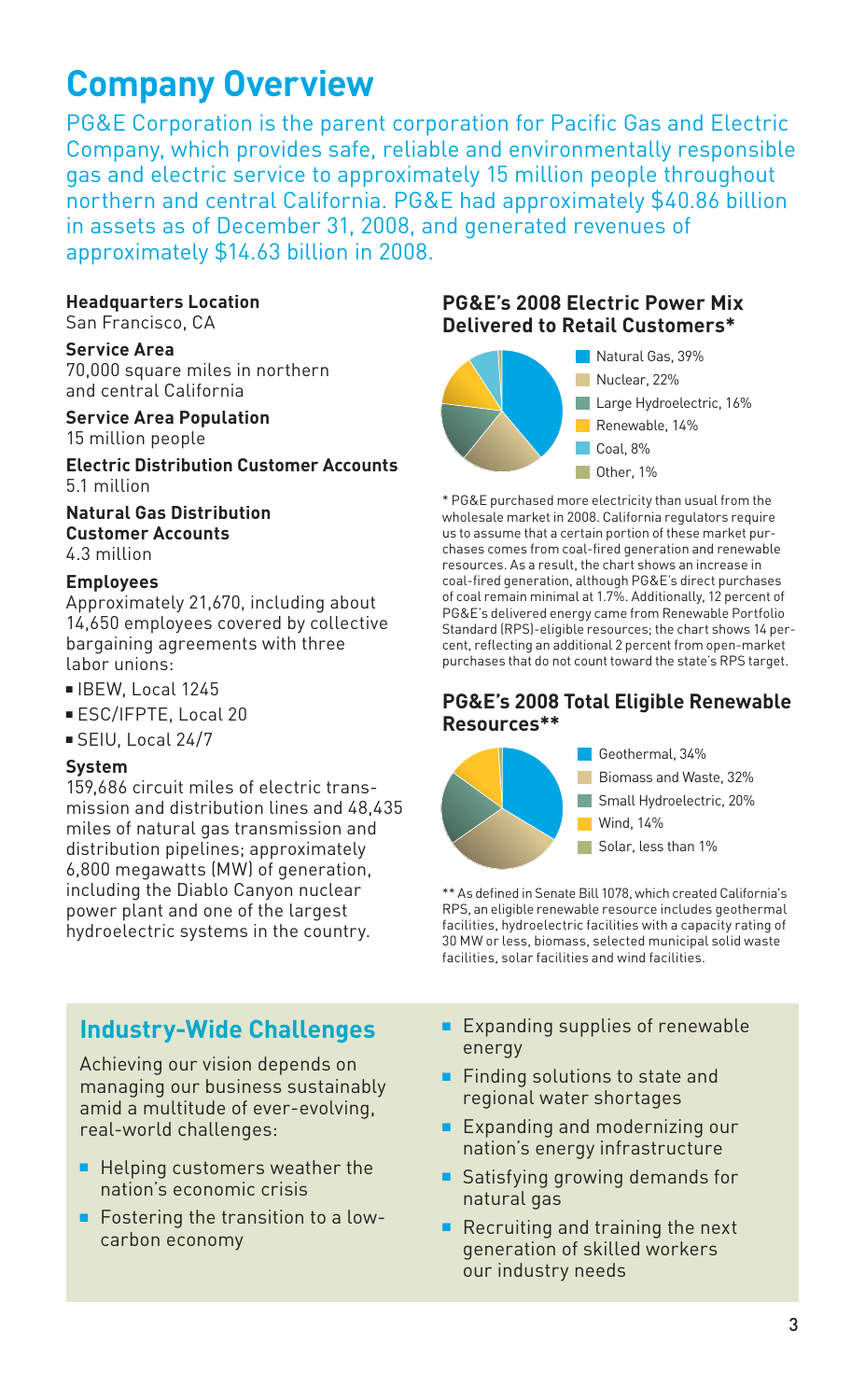# **Company Overview**

PG&E Corporation is the parent corporation for Pacific Gas and Electric Company, which provides safe, reliable and environmentally responsible gas and electric service to approximately 15 million people throughout northern and central California. PG&E had approximately \$40.86 billion in assets as of December 31, 2008, and generated revenues of approximately \$14.63 billion in 2008.

#### **Headquarters Location**

San Francisco, CA

#### **Service Area**

70,000 square miles in northern and central California

#### **Service Area Population** 15 million people

**Electric Distribution Customer Accounts** 5.1 million

#### **Natural Gas Distribution Customer Accounts** 4.3 million

#### **Employees**

Approximately 21,670, including about 14,650 employees covered by collective bargaining agreements with three labor unions:

- $\blacksquare$  IBEW, Local 1245
- **ESC/IFPTE, Local 20**
- <sup>n</sup> SEIU, Local 24/7

#### **System**

159,686 circuit miles of electric transmission and distribution lines and 48,435 miles of natural gas transmission and distribution pipelines; approximately 6,800 megawatts (MW) of generation, including the Diablo Canyon nuclear power plant and one of the largest hydroelectric systems in the country.

## **Industry-Wide Challenges**

Achieving our vision depends on managing our business sustainably amid a multitude of ever-evolving, real-world challenges:

- $\blacksquare$  Helping customers weather the nation's economic crisis
- $\blacksquare$  Fostering the transition to a lowcarbon economy

#### **PG&E's 2008 Electric Power Mix Delivered to Retail Customers\***



\* PG&E purchased more electricity than usual from the wholesale market in 2008. California regulators require us to assume that a certain portion of these market purchases comes from coal-fired generation and renewable resources. As a result, the chart shows an increase in coal-fired generation, although PG&E's direct purchases of coal remain minimal at 1.7%. Additionally, 12 percent of PG&E's delivered energy came from Renewable Portfolio Standard (RPS)-eligible resources; the chart shows 14 percent, reflecting an additional 2 percent from open-market purchases that do not count toward the state's RPS target.

#### **PG&E's 2008 Total Eligible Renewable Resources\*\***



\*\* As defined in Senate Bill 1078, which created California's RPS, an eligible renewable resource includes geothermal facilities, hydroelectric facilities with a capacity rating of 30 MW or less, biomass, selected municipal solid waste facilities, solar facilities and wind facilities.

- $\blacksquare$  Expanding supplies of renewable energy
- $\blacksquare$  Finding solutions to state and regional water shortages
- $\blacksquare$  Expanding and modernizing our nation's energy infrastructure
- Satisfying growing demands for natural gas
- $\blacksquare$  Recruiting and training the next generation of skilled workers our industry needs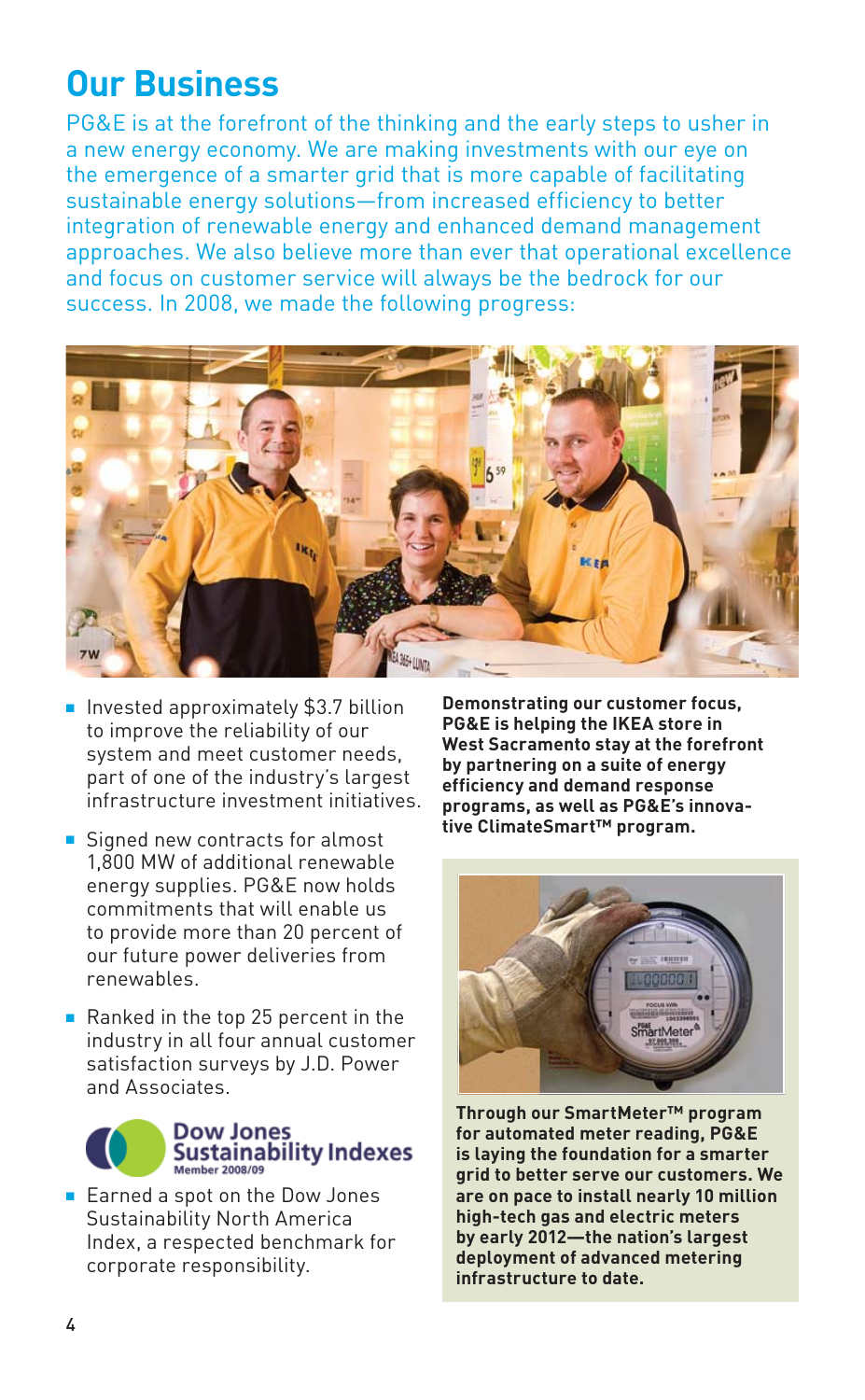## **Our Business**

PG&E is at the forefront of the thinking and the early steps to usher in a new energy economy. We are making investments with our eye on the emergence of a smarter grid that is more capable of facilitating sustainable energy solutions—from increased efficiency to better integration of renewable energy and enhanced demand management approaches. We also believe more than ever that operational excellence and focus on customer service will always be the bedrock for our success. In 2008, we made the following progress:



- Invested approximately \$3.7 billion to improve the reliability of our system and meet customer needs, part of one of the industry's largest infrastructure investment initiatives.
- $\blacksquare$  Signed new contracts for almost 1,800 MW of additional renewable energy supplies. PG&E now holds commitments that will enable us to provide more than 20 percent of our future power deliveries from renewables.
- Ranked in the top 25 percent in the industry in all four annual customer satisfaction surveys by J.D. Power and Associates.



■ Earned a spot on the Dow Jones Sustainability North America Index, a respected benchmark for corporate responsibility.

**Demonstrating our customer focus, PG&E is helping the IKEA store in West Sacramento stay at the forefront by partnering on a suite of energy efficiency and demand response programs, as well as PG&E's innovative ClimateSmart™ program.**



**Through our SmartMeter™ program for automated meter reading, PG&E is laying the foundation for a smarter grid to better serve our customers. We are on pace to install nearly 10 million high-tech gas and electric meters by early 2012—the nation's largest deployment of advanced metering infrastructure to date.**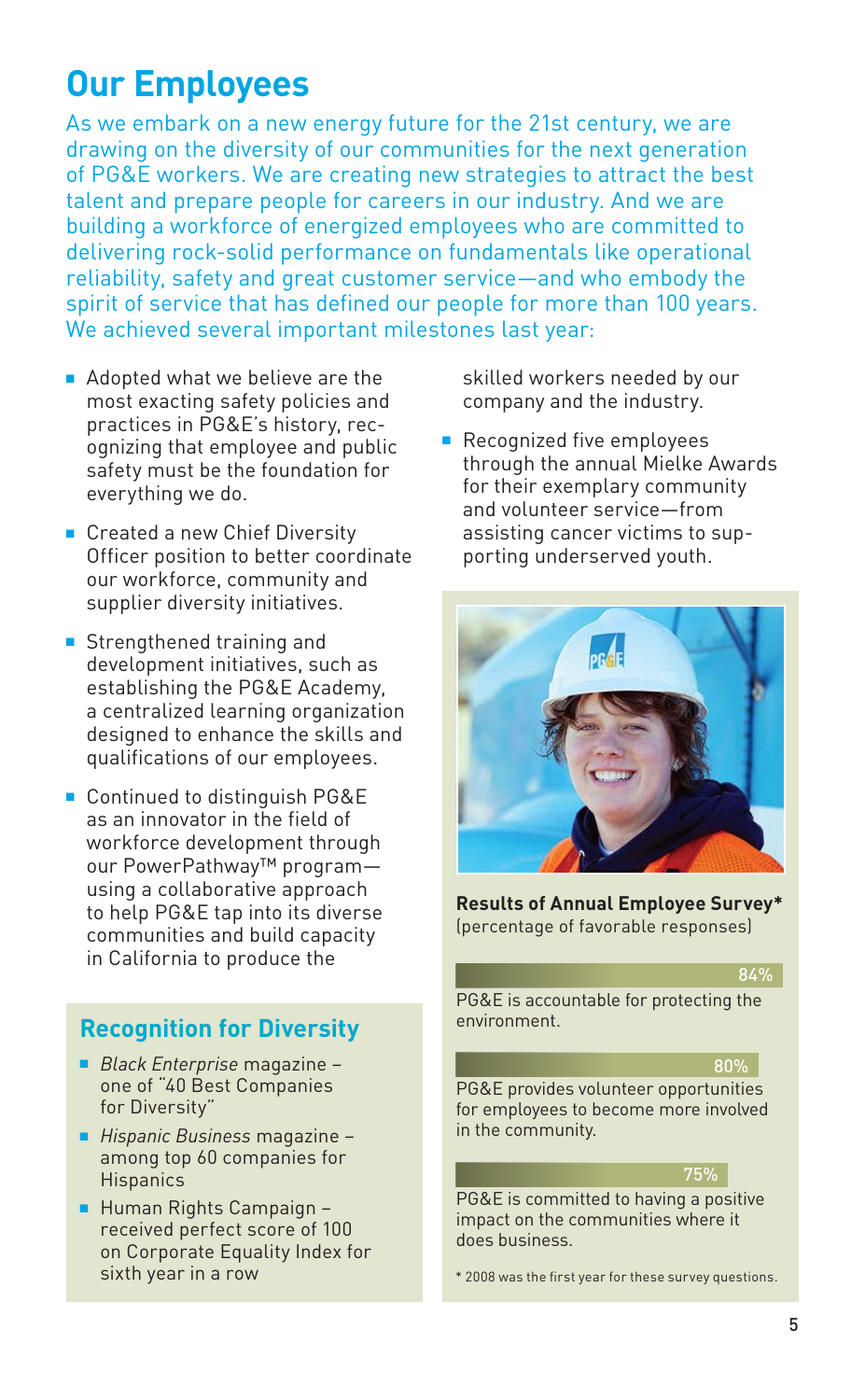# **Our Employees**

As we embark on a new energy future for the 21st century, we are drawing on the diversity of our communities for the next generation of PG&E workers. We are creating new strategies to attract the best talent and prepare people for careers in our industry. And we are building a workforce of energized employees who are committed to delivering rock-solid performance on fundamentals like operational reliability, safety and great customer service—and who embody the spirit of service that has defined our people for more than 100 years. We achieved several important milestones last year:

- $\blacksquare$  Adopted what we believe are the most exacting safety policies and practices in PG&E's history, recognizing that employee and public safety must be the foundation for everything we do.
- Created a new Chief Diversity Officer position to better coordinate our workforce, community and supplier diversity initiatives.
- $\blacksquare$  Strengthened training and development initiatives, such as establishing the PG&E Academy, a centralized learning organization designed to enhance the skills and qualifications of our employees.
- Continued to distinguish PG&E as an innovator in the field of workforce development through our PowerPathway™ program using a collaborative approach to help PG&E tap into its diverse communities and build capacity in California to produce the

## **Recognition for Diversity**

- <sup>n</sup> *Black Enterprise* magazine one of "40 Best Companies for Diversity"
- <sup>n</sup> *Hispanic Business* magazine among top 60 companies for **Hispanics**
- Human Rights Campaign received perfect score of 100 on Corporate Equality Index for sixth year in a row

skilled workers needed by our company and the industry.

**Recognized five employees** through the annual Mielke Awards for their exemplary community and volunteer service—from assisting cancer victims to supporting underserved youth.



**Results of Annual Employee Survey\*** (percentage of favorable responses)

#### 84%

PG&E is accountable for protecting the environment.

#### 80%

PG&E provides volunteer opportunities for employees to become more involved in the community.

#### 75%

PG&E is committed to having a positive impact on the communities where it does business.

\* 2008 was the first year for these survey questions.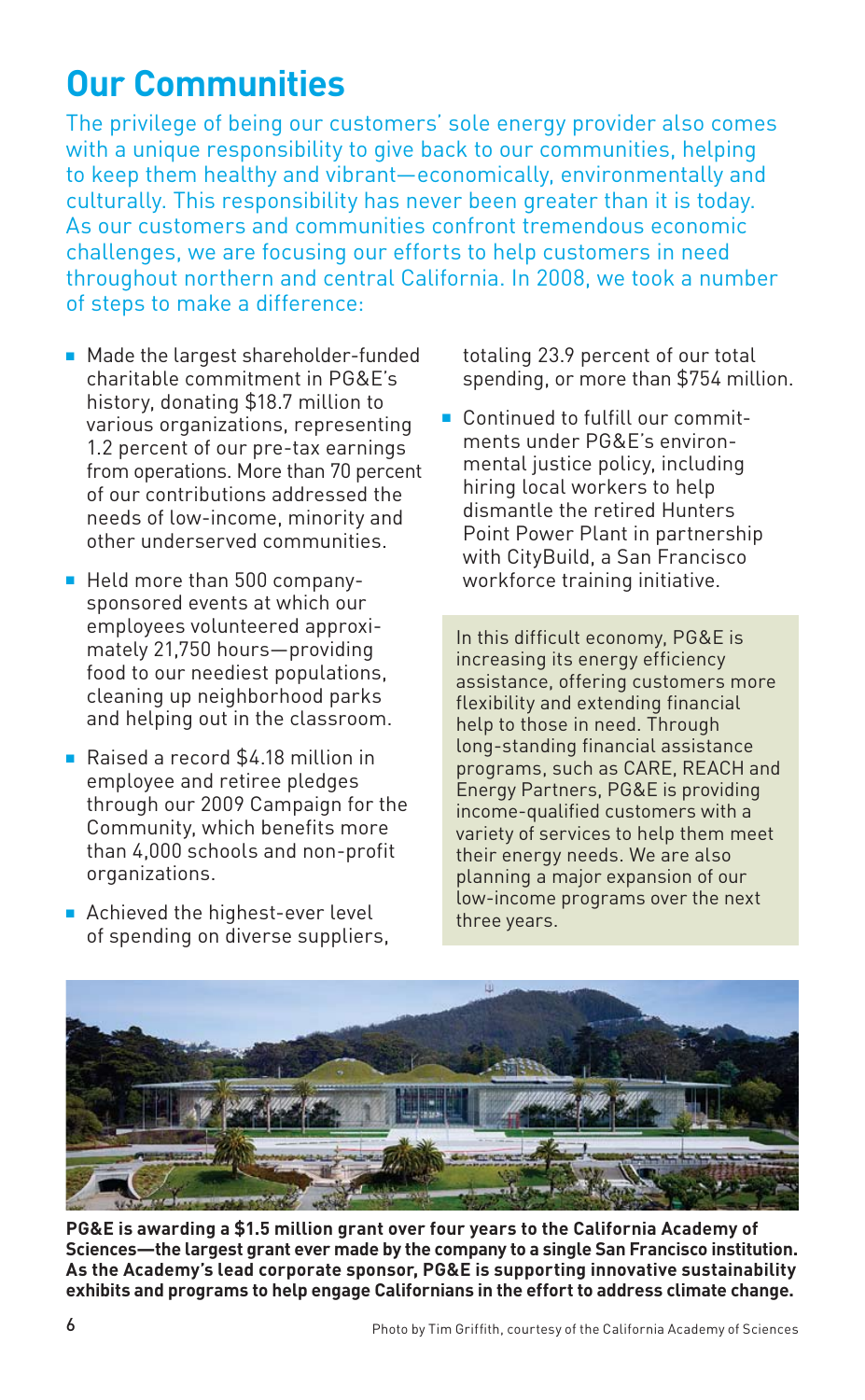# **Our Communities**

The privilege of being our customers' sole energy provider also comes with a unique responsibility to give back to our communities, helping to keep them healthy and vibrant—economically, environmentally and culturally. This responsibility has never been greater than it is today. As our customers and communities confront tremendous economic challenges, we are focusing our efforts to help customers in need throughout northern and central California. In 2008, we took a number of steps to make a difference:

- Made the largest shareholder-funded charitable commitment in PG&E's history, donating \$18.7 million to various organizations, representing 1.2 percent of our pre-tax earnings from operations. More than 70 percent of our contributions addressed the needs of low-income, minority and other underserved communities.
- Held more than 500 companysponsored events at which our employees volunteered approximately 21,750 hours—providing food to our neediest populations, cleaning up neighborhood parks and helping out in the classroom.
- Raised a record \$4.18 million in employee and retiree pledges through our 2009 Campaign for the Community, which benefits more than 4,000 schools and non-profit organizations.
- $\blacksquare$  Achieved the highest-ever level of spending on diverse suppliers,

totaling 23.9 percent of our total spending, or more than \$754 million.

**n** Continued to fulfill our commitments under PG&E's environmental justice policy, including hiring local workers to help dismantle the retired Hunters Point Power Plant in partnership with CityBuild, a San Francisco workforce training initiative.

In this difficult economy, PG&E is increasing its energy efficiency assistance, offering customers more flexibility and extending financial help to those in need. Through long-standing financial assistance programs, such as CARE, REACH and Energy Partners, PG&E is providing income-qualified customers with a variety of services to help them meet their energy needs. We are also planning a major expansion of our low-income programs over the next three years.



**PG&E is awarding a \$1.5 million grant over four years to the California Academy of Sciences—the largest grant ever made by the company to a single San Francisco institution. As the Academy's lead corporate sponsor, PG&E is supporting innovative sustainability exhibits and programs to help engage Californians in the effort to address climate change.**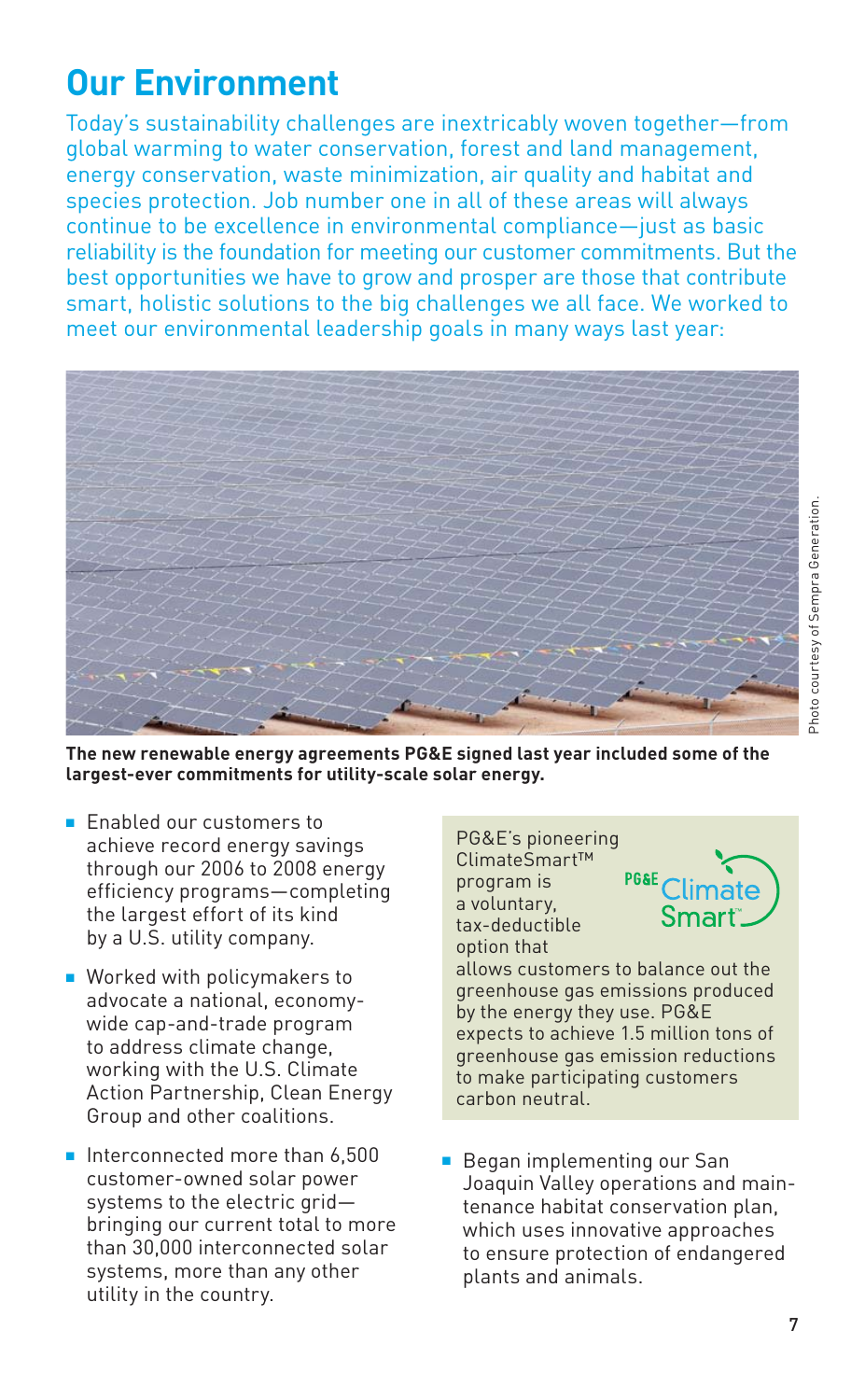# **Our Environment**

Today's sustainability challenges are inextricably woven together—from global warming to water conservation, forest and land management, energy conservation, waste minimization, air quality and habitat and species protection. Job number one in all of these areas will always continue to be excellence in environmental compliance—just as basic reliability is the foundation for meeting our customer commitments. But the best opportunities we have to grow and prosper are those that contribute smart, holistic solutions to the big challenges we all face. We worked to meet our environmental leadership goals in many ways last year:



**The new renewable energy agreements PG&E signed last year included some of the largest-ever commitments for utility-scale solar energy.**

- **F** Enabled our customers to achieve record energy savings through our 2006 to 2008 energy efficiency programs—completing the largest effort of its kind by a U.S. utility company.
- $\blacksquare$  Worked with policymakers to advocate a national, economywide cap-and-trade program to address climate change, working with the U.S. Climate Action Partnership, Clean Energy Group and other coalitions.
- $\blacksquare$  Interconnected more than 6,500 customer-owned solar power systems to the electric grid bringing our current total to more than 30,000 interconnected solar systems, more than any other utility in the country.

PG&E's pioneering ClimateSmart™ program is a voluntary, tax-deductible option that allows customers to balance out the greenhouse gas emissions produced by the energy they use. PG&E expects to achieve 1.5 million tons of greenhouse gas emission reductions to make participating customers carbon neutral.

**Began implementing our San** Joaquin Valley operations and maintenance habitat conservation plan, which uses innovative approaches to ensure protection of endangered plants and animals.